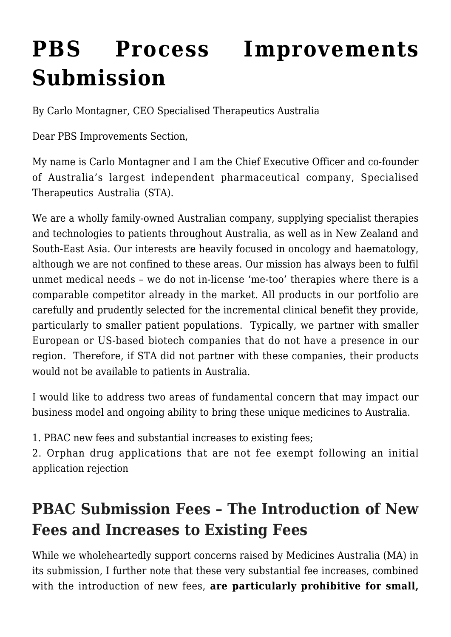# **[PBS Process Improvements](https://stabiopharma.com/pbs-process-improvements-submission/) [Submission](https://stabiopharma.com/pbs-process-improvements-submission/)**

By Carlo Montagner, CEO Specialised Therapeutics Australia

Dear PBS Improvements Section,

My name is Carlo Montagner and I am the Chief Executive Officer and co-founder of Australia's largest independent pharmaceutical company, Specialised Therapeutics Australia (STA).

We are a wholly family-owned Australian company, supplying specialist therapies and technologies to patients throughout Australia, as well as in New Zealand and South-East Asia. Our interests are heavily focused in oncology and haematology, although we are not confined to these areas. Our mission has always been to fulfil unmet medical needs – we do not in-license 'me-too' therapies where there is a comparable competitor already in the market. All products in our portfolio are carefully and prudently selected for the incremental clinical benefit they provide, particularly to smaller patient populations. Typically, we partner with smaller European or US-based biotech companies that do not have a presence in our region. Therefore, if STA did not partner with these companies, their products would not be available to patients in Australia.

I would like to address two areas of fundamental concern that may impact our business model and ongoing ability to bring these unique medicines to Australia.

1. PBAC new fees and substantial increases to existing fees;

2. Orphan drug applications that are not fee exempt following an initial application rejection

## **PBAC Submission Fees – The Introduction of New Fees and Increases to Existing Fees**

While we wholeheartedly support concerns raised by Medicines Australia (MA) in its submission, I further note that these very substantial fee increases, combined with the introduction of new fees, **are particularly prohibitive for small,**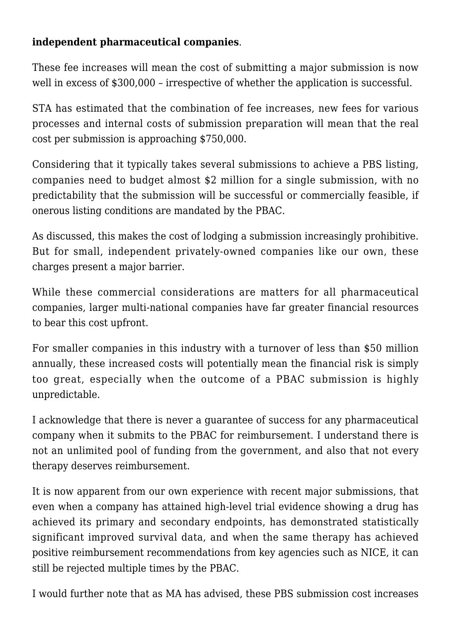#### **independent pharmaceutical companies**.

These fee increases will mean the cost of submitting a major submission is now well in excess of \$300,000 – irrespective of whether the application is successful.

STA has estimated that the combination of fee increases, new fees for various processes and internal costs of submission preparation will mean that the real cost per submission is approaching \$750,000.

Considering that it typically takes several submissions to achieve a PBS listing, companies need to budget almost \$2 million for a single submission, with no predictability that the submission will be successful or commercially feasible, if onerous listing conditions are mandated by the PBAC.

As discussed, this makes the cost of lodging a submission increasingly prohibitive. But for small, independent privately-owned companies like our own, these charges present a major barrier.

While these commercial considerations are matters for all pharmaceutical companies, larger multi-national companies have far greater financial resources to bear this cost upfront.

For smaller companies in this industry with a turnover of less than \$50 million annually, these increased costs will potentially mean the financial risk is simply too great, especially when the outcome of a PBAC submission is highly unpredictable.

I acknowledge that there is never a guarantee of success for any pharmaceutical company when it submits to the PBAC for reimbursement. I understand there is not an unlimited pool of funding from the government, and also that not every therapy deserves reimbursement.

It is now apparent from our own experience with recent major submissions, that even when a company has attained high-level trial evidence showing a drug has achieved its primary and secondary endpoints, has demonstrated statistically significant improved survival data, and when the same therapy has achieved positive reimbursement recommendations from key agencies such as NICE, it can still be rejected multiple times by the PBAC.

I would further note that as MA has advised, these PBS submission cost increases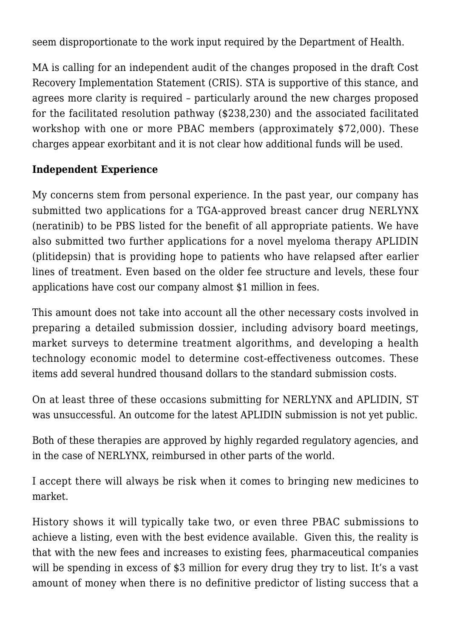seem disproportionate to the work input required by the Department of Health.

MA is calling for an independent audit of the changes proposed in the draft Cost Recovery Implementation Statement (CRIS). STA is supportive of this stance, and agrees more clarity is required – particularly around the new charges proposed for the facilitated resolution pathway (\$238,230) and the associated facilitated workshop with one or more PBAC members (approximately \$72,000). These charges appear exorbitant and it is not clear how additional funds will be used.

#### **Independent Experience**

My concerns stem from personal experience. In the past year, our company has submitted two applications for a TGA-approved breast cancer drug NERLYNX (neratinib) to be PBS listed for the benefit of all appropriate patients. We have also submitted two further applications for a novel myeloma therapy APLIDIN (plitidepsin) that is providing hope to patients who have relapsed after earlier lines of treatment. Even based on the older fee structure and levels, these four applications have cost our company almost \$1 million in fees.

This amount does not take into account all the other necessary costs involved in preparing a detailed submission dossier, including advisory board meetings, market surveys to determine treatment algorithms, and developing a health technology economic model to determine cost-effectiveness outcomes. These items add several hundred thousand dollars to the standard submission costs.

On at least three of these occasions submitting for NERLYNX and APLIDIN, ST was unsuccessful. An outcome for the latest APLIDIN submission is not yet public.

Both of these therapies are approved by highly regarded regulatory agencies, and in the case of NERLYNX, reimbursed in other parts of the world.

I accept there will always be risk when it comes to bringing new medicines to market.

History shows it will typically take two, or even three PBAC submissions to achieve a listing, even with the best evidence available. Given this, the reality is that with the new fees and increases to existing fees, pharmaceutical companies will be spending in excess of \$3 million for every drug they try to list. It's a vast amount of money when there is no definitive predictor of listing success that a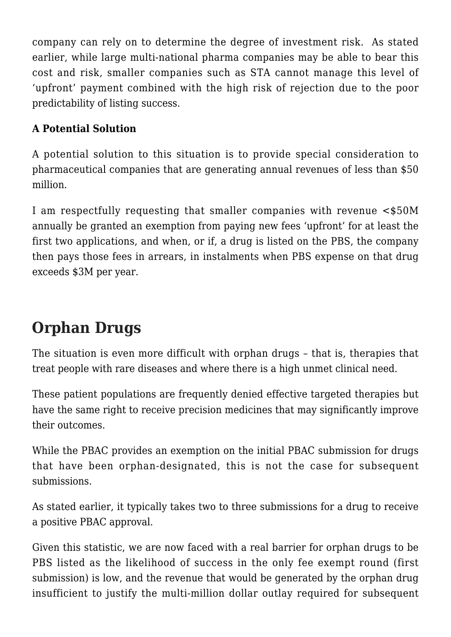company can rely on to determine the degree of investment risk. As stated earlier, while large multi-national pharma companies may be able to bear this cost and risk, smaller companies such as STA cannot manage this level of 'upfront' payment combined with the high risk of rejection due to the poor predictability of listing success.

#### **A Potential Solution**

A potential solution to this situation is to provide special consideration to pharmaceutical companies that are generating annual revenues of less than \$50 million.

I am respectfully requesting that smaller companies with revenue <\$50M annually be granted an exemption from paying new fees 'upfront' for at least the first two applications, and when, or if, a drug is listed on the PBS, the company then pays those fees in arrears, in instalments when PBS expense on that drug exceeds \$3M per year.

# **Orphan Drugs**

The situation is even more difficult with orphan drugs – that is, therapies that treat people with rare diseases and where there is a high unmet clinical need.

These patient populations are frequently denied effective targeted therapies but have the same right to receive precision medicines that may significantly improve their outcomes.

While the PBAC provides an exemption on the initial PBAC submission for drugs that have been orphan-designated, this is not the case for subsequent submissions.

As stated earlier, it typically takes two to three submissions for a drug to receive a positive PBAC approval.

Given this statistic, we are now faced with a real barrier for orphan drugs to be PBS listed as the likelihood of success in the only fee exempt round (first submission) is low, and the revenue that would be generated by the orphan drug insufficient to justify the multi-million dollar outlay required for subsequent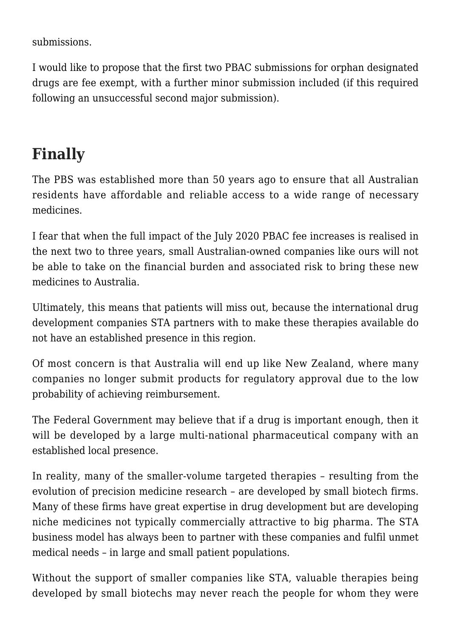submissions.

I would like to propose that the first two PBAC submissions for orphan designated drugs are fee exempt, with a further minor submission included (if this required following an unsuccessful second major submission).

## **Finally**

The PBS was established more than 50 years ago to ensure that all Australian residents have affordable and reliable access to a wide range of necessary medicines.

I fear that when the full impact of the July 2020 PBAC fee increases is realised in the next two to three years, small Australian-owned companies like ours will not be able to take on the financial burden and associated risk to bring these new medicines to Australia.

Ultimately, this means that patients will miss out, because the international drug development companies STA partners with to make these therapies available do not have an established presence in this region.

Of most concern is that Australia will end up like New Zealand, where many companies no longer submit products for regulatory approval due to the low probability of achieving reimbursement.

The Federal Government may believe that if a drug is important enough, then it will be developed by a large multi-national pharmaceutical company with an established local presence.

In reality, many of the smaller-volume targeted therapies – resulting from the evolution of precision medicine research – are developed by small biotech firms. Many of these firms have great expertise in drug development but are developing niche medicines not typically commercially attractive to big pharma. The STA business model has always been to partner with these companies and fulfil unmet medical needs – in large and small patient populations.

Without the support of smaller companies like STA, valuable therapies being developed by small biotechs may never reach the people for whom they were